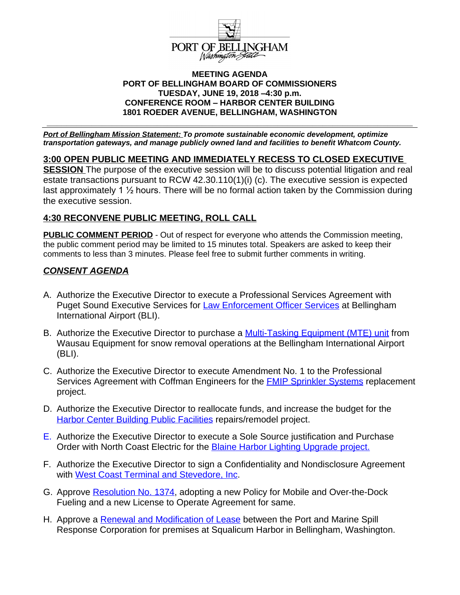

#### **MEETING AGENDA PORT OF BELLINGHAM BOARD OF COMMISSIONERS TUESDAY, JUNE 19, 2018 –4:30 p.m. CONFERENCE ROOM – HARBOR CENTER BUILDING 1801 ROEDER AVENUE, BELLINGHAM, WASHINGTON**

**\_\_\_\_\_\_\_\_\_\_\_\_\_\_\_\_\_\_\_\_\_\_\_\_\_\_\_\_\_\_\_\_\_\_\_\_\_\_\_\_\_\_\_\_\_\_\_\_\_\_\_\_\_\_\_\_\_\_\_\_\_\_\_\_\_\_\_\_\_\_\_\_\_**

*Port of Bellingham Mission Statement: To promote sustainable economic development, optimize transportation gateways, and manage publicly owned land and facilities to benefit Whatcom County.*

**3:00 OPEN PUBLIC MEETING AND IMMEDIATELY RECESS TO CLOSED EXECUTIVE SESSION** The purpose of the executive session will be to discuss potential litigation and real estate transactions pursuant to RCW 42.30.110(1)(i) (c). The executive session is expected last approximately 1 ½ hours. There will be no formal action taken by the Commission during the executive session.

# **4:30 RECONVENE PUBLIC MEETING, ROLL CALL**

**PUBLIC COMMENT PERIOD** - Out of respect for everyone who attends the Commission meeting, the public comment period may be limited to 15 minutes total. Speakers are asked to keep their comments to less than 3 minutes. Please feel free to submit further comments in writing.

#### *CONSENT AGENDA*

- A. Authorize the Executive Director to execute a Professional Services Agreement with Puget Sound Executive Services for **Law Enforcement Officer Services** at Bellingham International Airport (BLI).
- B. Authorize the Executive Director to purchase a [Multi-Tasking Equipment \(MTE\) unit](https://portofbellingham.com/DocumentCenter/View/7624/CA-Item-B) from Wausau Equipment for snow removal operations at the Bellingham International Airport (BLI).
- C. Authorize the Executive Director to execute Amendment No. 1 to the Professional Services Agreement with Coffman Engineers for the [FMIP Sprinkler Systems](https://portofbellingham.com/DocumentCenter/View/7625/CA-Item-C) replacement project.
- D. Authorize the Executive Director to reallocate funds, and increase the budget for the [Harbor Center Building Public Facilities](https://portofbellingham.com/DocumentCenter/View/7626/CA-Item-D) repairs/remodel project.
- E. Authorize the Executive Director to execute a Sole Source justification and Purchase Order with North Coast Electric for the [Blaine Harbor Lighting Upgrade project.](https://portofbellingham.com/DocumentCenter/View/7627/CA-Item-E)
- F. [Authorize the Executive Director to sign a Confidentiality and Nondisclosure Agreement](https://portofbellingham.com/DocumentCenter/View/7627/CA-Item-E)  [with](https://portofbellingham.com/DocumentCenter/View/7627/CA-Item-E) [West Coast Terminal and Stevedore, Inc](https://portofbellingham.com/DocumentCenter/View/7628/CA-Item-F).
- G. Approve [Resolution No. 1374](https://portofbellingham.com/DocumentCenter/View/7629/CA-Item-G), adopting a new Policy for Mobile and Over-the-Dock Fueling and a new License to Operate Agreement for same.
- H. Approve a **[Renewal and Modification of Lease](https://portofbellingham.com/DocumentCenter/View/7630/CA-Item-H)** between the Port and Marine Spill Response Corporation for premises at Squalicum Harbor in Bellingham, Washington.